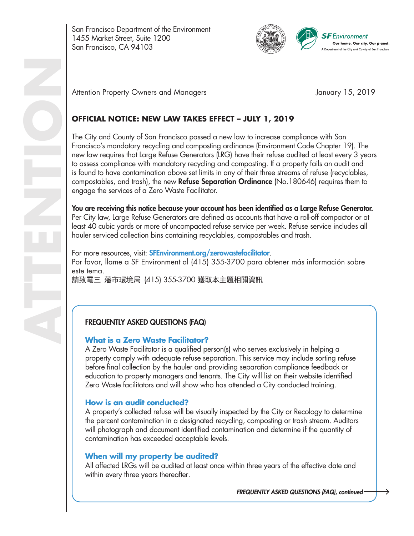San Francisco Department of the Environment 1455 Market Street, Suite 1200 San Francisco, CA 94103



Attention Property Owners and Managers **Attention Property Owners and Managers** January 15, 2019

# **OFFICIAL NOTICE: NEW LAW TAKES EFFECT – JULY 1, 2019**

The City and County of San Francisco passed a new law to increase compliance with San Francisco's mandatory recycling and composting ordinance (Environment Code Chapter 19). The new law requires that Large Refuse Generators (LRG) have their refuse audited at least every 3 years to assess compliance with mandatory recycling and composting. If a property fails an audit and is found to have contamination above set limits in any of their three streams of refuse (recyclables, compostables, and trash), the new **Refuse Separation Ordinance** ( $No.180646$ ) requires them to engage the services of a Zero Waste Facilitator.

You are receiving this notice because your account has been identified as a Large Refuse Generator. Per City law, Large Refuse Generators are defined as accounts that have a roll-off compactor or at least 40 cubic yards or more of uncompacted refuse service per week. Refuse service includes all hauler serviced collection bins containing recyclables, compostables and trash.

For more resources, visit: **SFEnvironment.org/zerowastefacilitator**. Por favor, llame a SF Environment al (415) 355-3700 para obtener más información sobre este tema. 請致電三 藩市環境局 (415) 355-3700 獲取本主題相關資訊

## FREQUENTLY ASKED QUESTIONS (FAQ)

#### **What is a Zero Waste Facilitator?**

A Zero Waste Facilitator is a qualified person(s) who serves exclusively in helping a property comply with adequate refuse separation. This service may include sorting refuse before final collection by the hauler and providing separation compliance feedback or education to property managers and tenants. The City will list on their website identified Zero Waste facilitators and will show who has attended a City conducted training.

#### **How is an audit conducted?**

A property's collected refuse will be visually inspected by the City or Recology to determine the percent contamination in a designated recycling, composting or trash stream. Auditors will photograph and document identified contamination and determine if the quantity of contamination has exceeded acceptable levels.

## **When will my property be audited?**

All affected LRGs will be audited at least once within three years of the effective date and within every three years thereafter.